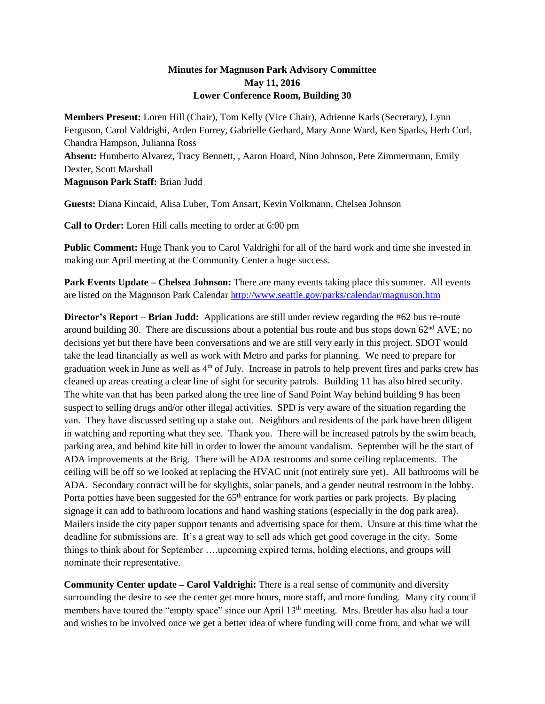## **Minutes for Magnuson Park Advisory Committee May 11, 2016 Lower Conference Room, Building 30**

**Members Present:** Loren Hill (Chair), Tom Kelly (Vice Chair), Adrienne Karls (Secretary), Lynn Ferguson, Carol Valdrighi, Arden Forrey, Gabrielle Gerhard, Mary Anne Ward, Ken Sparks, Herb Curl, Chandra Hampson, Julianna Ross **Absent:** Humberto Alvarez, Tracy Bennett, , Aaron Hoard, Nino Johnson, Pete Zimmermann, Emily Dexter, Scott Marshall **Magnuson Park Staff:** Brian Judd

**Guests:** Diana Kincaid, Alisa Luber, Tom Ansart, Kevin Volkmann, Chelsea Johnson

**Call to Order:** Loren Hill calls meeting to order at 6:00 pm

**Public Comment:** Huge Thank you to Carol Valdrighi for all of the hard work and time she invested in making our April meeting at the Community Center a huge success.

**Park Events Update – Chelsea Johnson:** There are many events taking place this summer. All events are listed on the Magnuson Park Calendar<http://www.seattle.gov/parks/calendar/magnuson.htm>

**Director's Report – Brian Judd:** Applications are still under review regarding the #62 bus re-route around building 30. There are discussions about a potential bus route and bus stops down 62<sup>nd</sup> AVE; no decisions yet but there have been conversations and we are still very early in this project. SDOT would take the lead financially as well as work with Metro and parks for planning. We need to prepare for graduation week in June as well as  $4<sup>th</sup>$  of July. Increase in patrols to help prevent fires and parks crew has cleaned up areas creating a clear line of sight for security patrols. Building 11 has also hired security. The white van that has been parked along the tree line of Sand Point Way behind building 9 has been suspect to selling drugs and/or other illegal activities. SPD is very aware of the situation regarding the van. They have discussed setting up a stake out. Neighbors and residents of the park have been diligent in watching and reporting what they see. Thank you. There will be increased patrols by the swim beach, parking area, and behind kite hill in order to lower the amount vandalism. September will be the start of ADA improvements at the Brig. There will be ADA restrooms and some ceiling replacements. The ceiling will be off so we looked at replacing the HVAC unit (not entirely sure yet). All bathrooms will be ADA. Secondary contract will be for skylights, solar panels, and a gender neutral restroom in the lobby. Porta potties have been suggested for the 65<sup>th</sup> entrance for work parties or park projects. By placing signage it can add to bathroom locations and hand washing stations (especially in the dog park area). Mailers inside the city paper support tenants and advertising space for them. Unsure at this time what the deadline for submissions are. It's a great way to sell ads which get good coverage in the city. Some things to think about for September ….upcoming expired terms, holding elections, and groups will nominate their representative.

**Community Center update – Carol Valdrighi:** There is a real sense of community and diversity surrounding the desire to see the center get more hours, more staff, and more funding. Many city council members have toured the "empty space" since our April 13<sup>th</sup> meeting. Mrs. Brettler has also had a tour and wishes to be involved once we get a better idea of where funding will come from, and what we will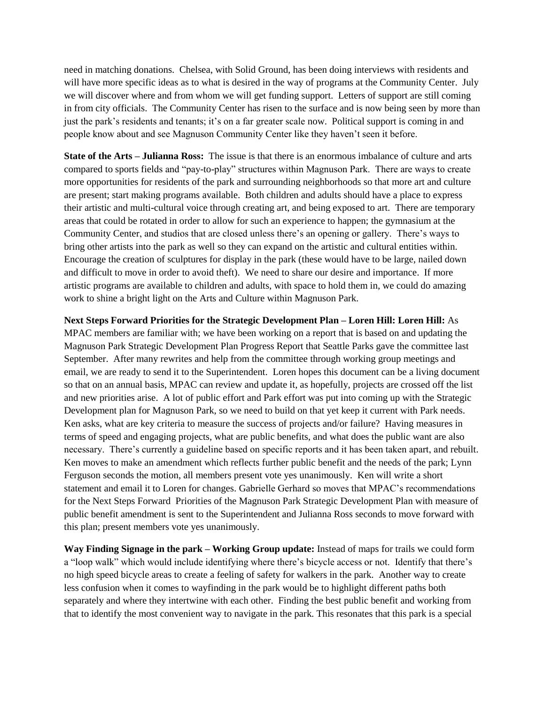need in matching donations. Chelsea, with Solid Ground, has been doing interviews with residents and will have more specific ideas as to what is desired in the way of programs at the Community Center. July we will discover where and from whom we will get funding support. Letters of support are still coming in from city officials. The Community Center has risen to the surface and is now being seen by more than just the park's residents and tenants; it's on a far greater scale now. Political support is coming in and people know about and see Magnuson Community Center like they haven't seen it before.

**State of the Arts – Julianna Ross:** The issue is that there is an enormous imbalance of culture and arts compared to sports fields and "pay-to-play" structures within Magnuson Park. There are ways to create more opportunities for residents of the park and surrounding neighborhoods so that more art and culture are present; start making programs available. Both children and adults should have a place to express their artistic and multi-cultural voice through creating art, and being exposed to art. There are temporary areas that could be rotated in order to allow for such an experience to happen; the gymnasium at the Community Center, and studios that are closed unless there's an opening or gallery. There's ways to bring other artists into the park as well so they can expand on the artistic and cultural entities within. Encourage the creation of sculptures for display in the park (these would have to be large, nailed down and difficult to move in order to avoid theft). We need to share our desire and importance. If more artistic programs are available to children and adults, with space to hold them in, we could do amazing work to shine a bright light on the Arts and Culture within Magnuson Park.

**Next Steps Forward Priorities for the Strategic Development Plan – Loren Hill: Loren Hill:** As MPAC members are familiar with; we have been working on a report that is based on and updating the Magnuson Park Strategic Development Plan Progress Report that Seattle Parks gave the committee last September. After many rewrites and help from the committee through working group meetings and email, we are ready to send it to the Superintendent. Loren hopes this document can be a living document so that on an annual basis, MPAC can review and update it, as hopefully, projects are crossed off the list and new priorities arise. A lot of public effort and Park effort was put into coming up with the Strategic Development plan for Magnuson Park, so we need to build on that yet keep it current with Park needs. Ken asks, what are key criteria to measure the success of projects and/or failure? Having measures in terms of speed and engaging projects, what are public benefits, and what does the public want are also necessary. There's currently a guideline based on specific reports and it has been taken apart, and rebuilt. Ken moves to make an amendment which reflects further public benefit and the needs of the park; Lynn Ferguson seconds the motion, all members present vote yes unanimously. Ken will write a short statement and email it to Loren for changes. Gabrielle Gerhard so moves that MPAC's recommendations for the Next Steps Forward Priorities of the Magnuson Park Strategic Development Plan with measure of public benefit amendment is sent to the Superintendent and Julianna Ross seconds to move forward with this plan; present members vote yes unanimously.

**Way Finding Signage in the park – Working Group update:** Instead of maps for trails we could form a "loop walk" which would include identifying where there's bicycle access or not. Identify that there's no high speed bicycle areas to create a feeling of safety for walkers in the park. Another way to create less confusion when it comes to wayfinding in the park would be to highlight different paths both separately and where they intertwine with each other. Finding the best public benefit and working from that to identify the most convenient way to navigate in the park. This resonates that this park is a special